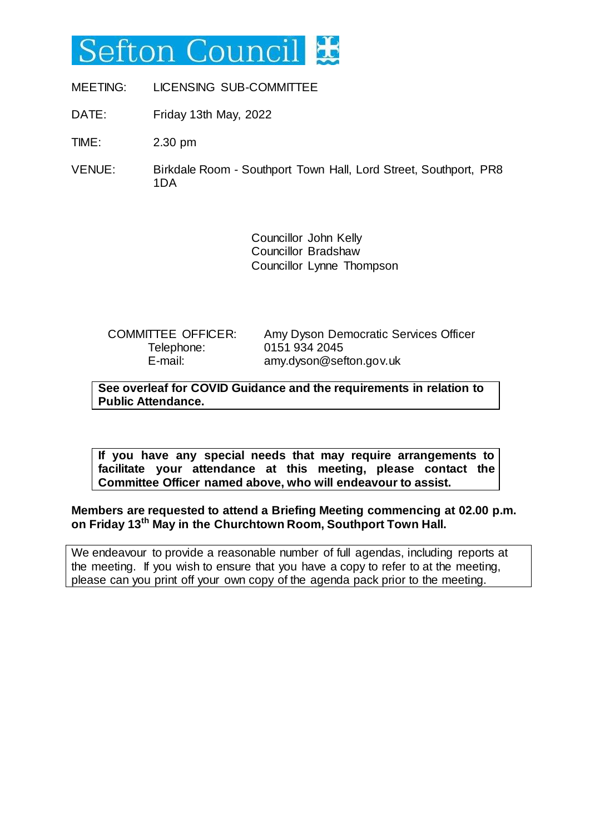# Sefton Counci

MEETING: LICENSING SUB-COMMITTEE

DATE: Friday 13th May, 2022

TIME: 2.30 pm

VENUE: Birkdale Room - Southport Town Hall, Lord Street, Southport, PR8 1DA

> Councillor John Kelly Councillor Bradshaw Councillor Lynne Thompson

Telephone: 0151 934 2045

COMMITTEE OFFICER: Amy Dyson Democratic Services Officer E-mail: amy.dyson@sefton.gov.uk

**See overleaf for COVID Guidance and the requirements in relation to Public Attendance.**

**If you have any special needs that may require arrangements to facilitate your attendance at this meeting, please contact the Committee Officer named above, who will endeavour to assist.**

## **Members are requested to attend a Briefing Meeting commencing at 02.00 p.m. on Friday 13th May in the Churchtown Room, Southport Town Hall.**

We endeavour to provide a reasonable number of full agendas, including reports at the meeting. If you wish to ensure that you have a copy to refer to at the meeting, please can you print off your own copy of the agenda pack prior to the meeting.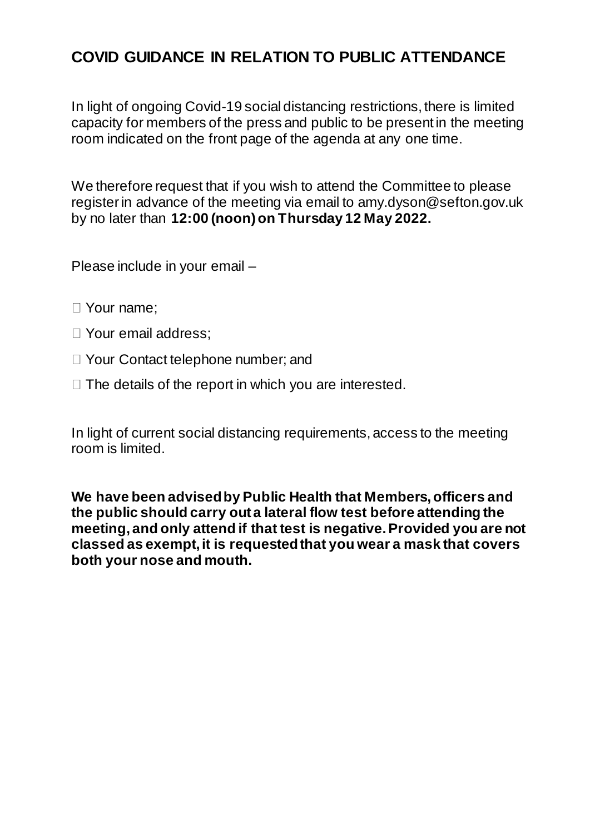# **COVID GUIDANCE IN RELATION TO PUBLIC ATTENDANCE**

In light of ongoing Covid-19 social distancing restrictions, there is limited capacity for members of the press and public to be present in the meeting room indicated on the front page of the agenda at any one time.

We therefore request that if you wish to attend the Committee to please register in advance of the meeting via email to amy.dyson@sefton.gov.uk by no later than **12:00 (noon) on Thursday 12 May 2022.** 

Please include in your email –

- Your name;
- □ Your email address:
- □ Your Contact telephone number; and
- $\Box$  The details of the report in which you are interested.

In light of current social distancing requirements, access to the meeting room is limited.

**We have been advised by Public Health that Members, officers and the public should carry out a lateral flow test before attending the meeting, and only attend if that test is negative. Provided you are not classed as exempt, it is requested that you wear a mask that covers both your nose and mouth.**